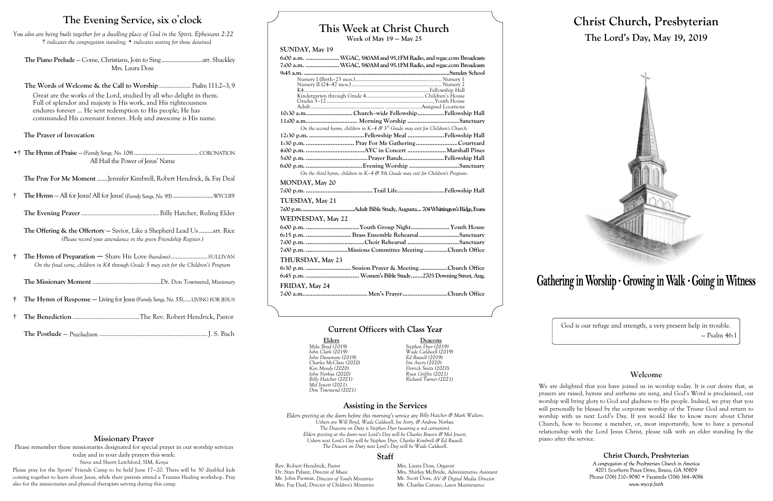# **This Week at Christ Church**

**Week of May 19 — May 25**

### **SUNDAY, May 19**

|                       | 10:30 a.mChurch-wide FellowshipFellowship Hall                                      |  |
|-----------------------|-------------------------------------------------------------------------------------|--|
|                       |                                                                                     |  |
|                       | On the second hymn, children in $K-4$ & $3rd$ Grade may exit for Children's Church. |  |
|                       |                                                                                     |  |
|                       |                                                                                     |  |
|                       |                                                                                     |  |
|                       |                                                                                     |  |
|                       |                                                                                     |  |
|                       | On the third hymn, children in K-4 & 5th Grade may exit for Children's Program.     |  |
| <b>MONDAY, May 20</b> |                                                                                     |  |
|                       |                                                                                     |  |
| TUESDAY, May 21       |                                                                                     |  |
|                       |                                                                                     |  |
| WEDNESDAY, May 22     |                                                                                     |  |
|                       |                                                                                     |  |
|                       | 6:15 p.m.  Brass Ensemble Rehearsal Sanctuary                                       |  |
|                       |                                                                                     |  |
|                       | 7:00 p.m. Missions Committee Meeting Church Office                                  |  |
| THURSDAY, May 23      |                                                                                     |  |
|                       | 6:30 p.m.  Session Prayer & Meeting Church Office                                   |  |
|                       |                                                                                     |  |
| FRIDAY, May 24        |                                                                                     |  |
|                       |                                                                                     |  |

### **Current Officers with Class Year**

Elders **Deacons**<br>
Mike Boyd (2019) Stephen Dyer (2019) *Mike Boyd (2019) Stephen Dyer (2019) John Clark (2019) Wade Caldwell (2019) Billy Hatcher (2021) Richard Turner (2021)*

## **Assisting in the Services**

Rev. Robert Hendrick, *Pastor* Mrs. Laura Doss, *Organist*<br>Dr. Stan Pylant, *Director of Music* Mrs. Shirley McBride, *Adm* Mr. John Psomas, *Director of Youth Ministries* Mrs. Fay Deal, *Director of Children's Ministries* Mr. Charles Caruso, *Lawn Maintenance*

Mrs. Shirley McBride, *Administrative Assistant* Mr. Scott Doss, *AV & Digital Media Director* 

**The Offering & the Offertory – Savior, Like a Shepherd Lead Us..........arr. Rice** *(Please record your attendance in the green Friendship Register.)*

> *John Dunsmore (2019) Ed Russell (2019) Charles McClure (2020) Jim Avery (2020) Ken Moody (2020) Derrick Smits (2020) John Norkus (2020) Ryan Griffin (2021) Mel Jewett (2021) Don Townsend (2021)*

*Elders greeting at the doors before this morning's service are Billy Hatcher & Mark Walters. Ushers are Will Boyd, Wade Caldwell, Joe Ivory, & Andrew Norkus. The Deacons on Duty is Stephen Dyer (wearing a red carnation). Elders greeting at the doors next Lord's Day will be Charles Bowen & Mel Jewett. Ushers next Lord's Day will be Stephen Dyer, Charles Kimbrell & Ed Russell. The Deacon on Duty next Lord's Day will be Wade Caldwell.*

### **Staff**

# **Christ Church, Presbyterian The Lord's Day, May 19, 2019**



# Gathering in Worship · Growing in Walk · Going in Witness

God is our refuge and strength, a very present help in trouble. — Psalm 46:1

## **Welcome**

Christ Church, Presbyterian A congregation of the Presbyterian Church in America 4201 Southern Pines Drive, Evans, GA 30809 Phone (706) 210-9090 • Facsimile (706) 364-9086 www.myccp.faith

We are delighted that you have joined us in worship today. It is our desire that, as prayers are raised, hymns and anthems are sung, and God's Word is proclaimed, our worship will bring glory to God and gladness to His people. Indeed, we pray that you will personally be blessed by the corporate worship of the Triune God and return to worship with us next Lord's Day. If you would like to know more about Christ Church, how to become a member, or, most importantly, how to have a personal relationship with the Lord Jesus Christ, please talk with an elder standing by the piano after the service.

## **The Evening Service, six o**'**clock**

*You also are being built together for a dwelling place of God in the Spirit. Ephesians 2:22* † *indicates the congregation standing;* • *indicates seating for those detained*

**The Piano Prelude** — Come, Christians, Join to Sing ............................arr. Shackley Mrs. Laura Doss

**The Words of Welcome & the Call to Worship** ................... Psalm 111:2—3, 9 Great are the works of the Lord, studied by all who delight in them. Full of splendor and majesty is His work, and His righteousness endures forever … He sent redemption to His people; He has commanded His covenant forever. Holy and awesome is His name.

### **The Prayer of Invocation**

•† **The Hymn of Praise** — *(Family Songs, No. 108)*.............................................CORONATION All Hail the Power of Jesus' Name

**The Pray For Me Moment** .......Jennifer Kimbrell, Robert Hendrick, & Fay Deal

† **The Hymn** — All for Jesus! All for Jesus! *(Family Songs, No. 95)* ............................WYCLIFF

**The Evening Prayer**...............................................Billy Hatcher, Ruling Elder

**† The Hymn of Preparation** — Share His Love *(handout)*...................... SULLIVAN *On the final verse, children in K4 through Grade 5 may exit for the Children's Program*

**The Missionary Moment** .............................................Dr. Don Townsend, *Missionary*

- **† The Hymn of Response —** Living for Jesus *(Family Songs, No. 55)*.....LIVING FOR JESUS
- † **The Benediction** ........................................The Rev. Robert Hendrick, Pastor

**The Postlude** — *Praeludium* .................................................................J. S. Bach

### **Missionary Prayer**

Please remember these missionaries designated for special prayer in our worship services today and in your daily prayers this week: Steve and Sherri Letchford, SIM, *Kenya*

Please pray for the Sports' Friends Camp to be held June 17—20. There will be 30 disabled kids coming together to learn about Jesus, while their parents attend a Trauma Healing workshop. Pray also for the missionaries and physical therapists serving during this camp.